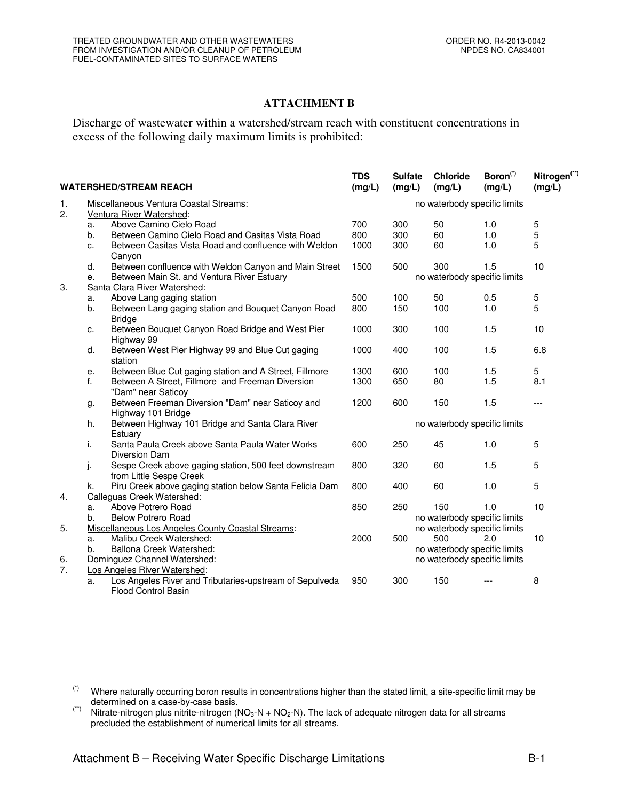## **ATTACHMENT B**

Discharge of wastewater within a watershed/stream reach with constituent concentrations in excess of the following daily maximum limits is prohibited:

| <b>WATERSHED/STREAM REACH</b> |                                                   |                                                                                  | <b>TDS</b><br>(mg/L)         | <b>Sulfate</b><br>(mg/L)     | <b>Chloride</b><br>(mg/L)    | Boron <sup>(7)</sup><br>(mg/L) | Nitrogen <sup>(**)</sup><br>(mg/L) |  |  |  |
|-------------------------------|---------------------------------------------------|----------------------------------------------------------------------------------|------------------------------|------------------------------|------------------------------|--------------------------------|------------------------------------|--|--|--|
| 1.                            |                                                   | Miscellaneous Ventura Coastal Streams:                                           | no waterbody specific limits |                              |                              |                                |                                    |  |  |  |
| 2.                            |                                                   | Ventura River Watershed:                                                         |                              |                              |                              |                                |                                    |  |  |  |
|                               | a.                                                | Above Camino Cielo Road                                                          | 700                          | 300                          | 50                           | 1.0                            | 5                                  |  |  |  |
|                               | b.                                                | Between Camino Cielo Road and Casitas Vista Road                                 | 800                          | 300                          | 60                           | 1.0                            | 5                                  |  |  |  |
|                               | c.                                                | Between Casitas Vista Road and confluence with Weldon<br>Canyon                  | 1000                         | 300                          | 60                           | 1.0                            | 5                                  |  |  |  |
|                               | d.                                                | Between confluence with Weldon Canyon and Main Street                            | 1500                         | 500                          | 300                          | 1.5                            | 10                                 |  |  |  |
|                               | Between Main St. and Ventura River Estuary<br>е.  |                                                                                  |                              | no waterbody specific limits |                              |                                |                                    |  |  |  |
| 3.                            |                                                   | Santa Clara River Watershed:                                                     |                              |                              |                              |                                |                                    |  |  |  |
|                               | a.                                                | Above Lang gaging station                                                        | 500                          | 100                          | 50                           | 0.5                            | 5                                  |  |  |  |
|                               | b.                                                | Between Lang gaging station and Bouquet Canyon Road<br><b>Bridge</b>             | 800                          | 150                          | 100                          | 1.0                            | 5                                  |  |  |  |
|                               | c.                                                | Between Bouquet Canyon Road Bridge and West Pier<br>Highway 99                   | 1000                         | 300                          | 100                          | 1.5                            | 10                                 |  |  |  |
|                               | d.                                                | Between West Pier Highway 99 and Blue Cut gaging<br>station                      | 1000                         | 400                          | 100                          | 1.5                            | 6.8                                |  |  |  |
|                               | е.                                                | Between Blue Cut gaging station and A Street, Fillmore                           | 1300                         | 600                          | 100                          | 1.5                            | 5                                  |  |  |  |
|                               | f.                                                | Between A Street, Fillmore and Freeman Diversion<br>"Dam" near Saticoy           | 1300                         | 650                          | 80                           | 1.5                            | 8.1                                |  |  |  |
|                               | g.                                                | Between Freeman Diversion "Dam" near Saticoy and<br>Highway 101 Bridge           | 1200                         | 600                          | 150                          | 1.5                            | $---$                              |  |  |  |
|                               | h.                                                | Between Highway 101 Bridge and Santa Clara River<br>Estuary                      | no waterbody specific limits |                              |                              |                                |                                    |  |  |  |
|                               | i.                                                | Santa Paula Creek above Santa Paula Water Works<br>Diversion Dam                 | 600                          | 250                          | 45                           | 1.0                            | 5                                  |  |  |  |
|                               | j.                                                | Sespe Creek above gaging station, 500 feet downstream<br>from Little Sespe Creek | 800                          | 320                          | 60                           | 1.5                            | 5                                  |  |  |  |
|                               | k.                                                | Piru Creek above gaging station below Santa Felicia Dam                          | 800                          | 400                          | 60                           | 1.0                            | 5                                  |  |  |  |
| 4.                            |                                                   | Calleguas Creek Watershed:                                                       |                              |                              |                              |                                |                                    |  |  |  |
|                               | a.                                                | Above Potrero Road                                                               | 850                          | 250                          | 150                          | 1.0                            | 10                                 |  |  |  |
|                               | b.                                                | <b>Below Potrero Road</b>                                                        |                              |                              | no waterbody specific limits |                                |                                    |  |  |  |
| 5.                            | Miscellaneous Los Angeles County Coastal Streams: |                                                                                  |                              |                              | no waterbody specific limits |                                |                                    |  |  |  |
|                               | a.                                                | Malibu Creek Watershed:                                                          | 2000                         | 500                          | 500                          | 2.0                            | 10                                 |  |  |  |
|                               | Ballona Creek Watershed:<br>b.                    |                                                                                  |                              |                              | no waterbody specific limits |                                |                                    |  |  |  |
| 6.                            |                                                   | Dominguez Channel Watershed:                                                     |                              |                              | no waterbody specific limits |                                |                                    |  |  |  |
| 7.                            |                                                   | Los Angeles River Watershed:                                                     |                              |                              |                              |                                |                                    |  |  |  |
|                               | a.                                                | Los Angeles River and Tributaries-upstream of Sepulveda<br>Flood Control Basin   | 950                          | 300                          | 150                          |                                | 8                                  |  |  |  |

 $\overline{a}$ 

<sup>(\*)</sup> Where naturally occurring boron results in concentrations higher than the stated limit, a site-specific limit may be determined on a case-by-case basis.

<sup>(\*)</sup> Nitrate-nitrogen plus nitrite-nitrogen ( $NO<sub>3</sub>-N + NO<sub>2</sub>-N$ ). The lack of adequate nitrogen data for all streams precluded the establishment of numerical limits for all streams.